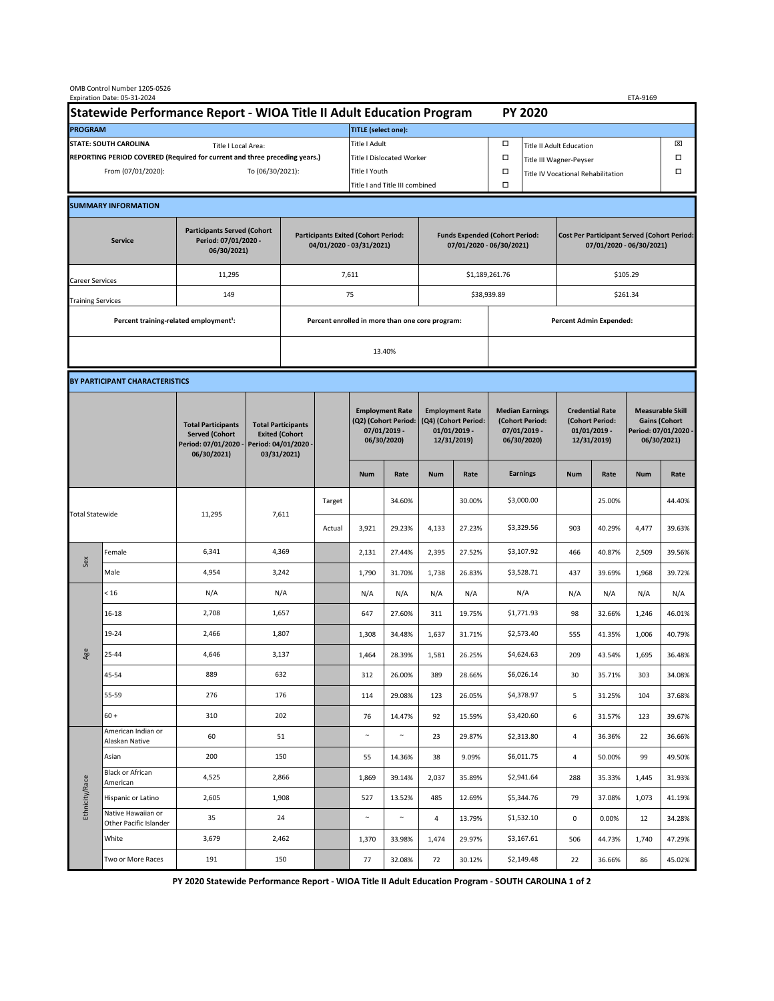|                                                                                             | OMB Control Number 1205-0526<br>Expiration Date: 05-31-2024 |                                                                                                                   |                                                 |                                                                        |               |                            |                                                                               |                                                                   |                                                                                 |                                      |                                                                                |             |                                                                            | ETA-9169   |                                                                                        |  |  |
|---------------------------------------------------------------------------------------------|-------------------------------------------------------------|-------------------------------------------------------------------------------------------------------------------|-------------------------------------------------|------------------------------------------------------------------------|---------------|----------------------------|-------------------------------------------------------------------------------|-------------------------------------------------------------------|---------------------------------------------------------------------------------|--------------------------------------|--------------------------------------------------------------------------------|-------------|----------------------------------------------------------------------------|------------|----------------------------------------------------------------------------------------|--|--|
| Statewide Performance Report - WIOA Title II Adult Education Program                        |                                                             |                                                                                                                   |                                                 |                                                                        |               |                            |                                                                               |                                                                   |                                                                                 |                                      | <b>PY 2020</b>                                                                 |             |                                                                            |            |                                                                                        |  |  |
| <b>PROGRAM</b>                                                                              |                                                             |                                                                                                                   |                                                 |                                                                        |               | <b>TITLE</b> (select one): |                                                                               |                                                                   |                                                                                 |                                      |                                                                                |             |                                                                            |            |                                                                                        |  |  |
| <b>STATE: SOUTH CAROLINA</b><br>Title I Local Area:                                         |                                                             |                                                                                                                   |                                                 |                                                                        |               | Title I Adult              |                                                                               |                                                                   |                                                                                 | □<br><b>Title II Adult Education</b> |                                                                                |             |                                                                            |            | ⊠                                                                                      |  |  |
| REPORTING PERIOD COVERED (Required for current and three preceding years.)                  |                                                             |                                                                                                                   |                                                 |                                                                        |               | Title I Dislocated Worker  |                                                                               |                                                                   |                                                                                 | Ω                                    | □<br>Title III Wagner-Peyser                                                   |             |                                                                            |            |                                                                                        |  |  |
| From (07/01/2020):<br>To (06/30/2021):                                                      |                                                             |                                                                                                                   |                                                 |                                                                        | Title I Youth |                            |                                                                               |                                                                   | $\Box$                                                                          | Title IV Vocational Rehabilitation   |                                                                                |             | □                                                                          |            |                                                                                        |  |  |
|                                                                                             |                                                             |                                                                                                                   |                                                 |                                                                        |               |                            | Title I and Title III combined                                                |                                                                   |                                                                                 | Ω                                    |                                                                                |             |                                                                            |            |                                                                                        |  |  |
|                                                                                             | <b>SUMMARY INFORMATION</b>                                  |                                                                                                                   |                                                 |                                                                        |               |                            |                                                                               |                                                                   |                                                                                 |                                      |                                                                                |             |                                                                            |            |                                                                                        |  |  |
| <b>Participants Served (Cohort</b><br>Period: 07/01/2020 -<br><b>Service</b><br>06/30/2021) |                                                             |                                                                                                                   |                                                 | <b>Participants Exited (Cohort Period:</b><br>04/01/2020 - 03/31/2021) |               |                            |                                                                               | <b>Funds Expended (Cohort Period:</b><br>07/01/2020 - 06/30/2021) |                                                                                 |                                      | <b>Cost Per Participant Served (Cohort Period:</b><br>07/01/2020 - 06/30/2021) |             |                                                                            |            |                                                                                        |  |  |
| Career Services                                                                             |                                                             | 11,295                                                                                                            |                                                 |                                                                        | 7,611         |                            |                                                                               |                                                                   |                                                                                 | \$1,189,261.76                       |                                                                                | \$105.29    |                                                                            |            |                                                                                        |  |  |
| <b>Training Services</b>                                                                    |                                                             | 149                                                                                                               |                                                 | 75                                                                     |               |                            |                                                                               |                                                                   |                                                                                 |                                      | \$38,939.89                                                                    |             | \$261.34                                                                   |            |                                                                                        |  |  |
|                                                                                             | Percent training-related employment <sup>1</sup> :          |                                                                                                                   | Percent enrolled in more than one core program: |                                                                        |               |                            |                                                                               |                                                                   | <b>Percent Admin Expended:</b>                                                  |                                      |                                                                                |             |                                                                            |            |                                                                                        |  |  |
|                                                                                             |                                                             |                                                                                                                   |                                                 |                                                                        |               | 13.40%                     |                                                                               |                                                                   |                                                                                 |                                      |                                                                                |             |                                                                            |            |                                                                                        |  |  |
|                                                                                             |                                                             |                                                                                                                   |                                                 |                                                                        |               |                            |                                                                               |                                                                   |                                                                                 |                                      |                                                                                |             |                                                                            |            |                                                                                        |  |  |
|                                                                                             | BY PARTICIPANT CHARACTERISTICS                              |                                                                                                                   |                                                 |                                                                        |               |                            |                                                                               |                                                                   |                                                                                 |                                      |                                                                                |             |                                                                            |            |                                                                                        |  |  |
|                                                                                             |                                                             | <b>Total Participants</b><br><b>Served (Cohort</b><br>Period: 04/01/2020 -<br>Period: 07/01/2020 -<br>06/30/2021) |                                                 | <b>Total Participants</b><br><b>Exited (Cohort</b><br>03/31/2021)      |               |                            | <b>Employment Rate</b><br>(Q2) (Cohort Period:<br>07/01/2019 -<br>06/30/2020) |                                                                   | <b>Employment Rate</b><br>(Q4) (Cohort Period:<br>$01/01/2019$ -<br>12/31/2019) |                                      | <b>Median Earnings</b><br>(Cohort Period:<br>$07/01/2019 -$<br>06/30/2020)     |             | <b>Credential Rate</b><br>(Cohort Period:<br>$01/01/2019$ -<br>12/31/2019) |            | <b>Measurable Skill</b><br><b>Gains (Cohort</b><br>Period: 07/01/2020 -<br>06/30/2021) |  |  |
|                                                                                             |                                                             |                                                                                                                   |                                                 |                                                                        |               | <b>Num</b>                 | Rate                                                                          | <b>Num</b>                                                        | Rate                                                                            |                                      | <b>Earnings</b>                                                                | <b>Num</b>  | Rate                                                                       | <b>Num</b> | Rate                                                                                   |  |  |
| <b>Total Statewide</b>                                                                      |                                                             | 11,295                                                                                                            | 7,611                                           |                                                                        | Target        |                            | 34.60%                                                                        |                                                                   | 30.00%                                                                          |                                      | \$3,000.00                                                                     |             | 25.00%                                                                     |            | 44.40%                                                                                 |  |  |
|                                                                                             |                                                             |                                                                                                                   |                                                 |                                                                        | Actual        | 3,921                      | 29.23%                                                                        | 4,133                                                             | 27.23%                                                                          |                                      | \$3,329.56                                                                     | 903         | 40.29%                                                                     | 4,477      | 39.63%                                                                                 |  |  |
|                                                                                             | Female                                                      | 6,341                                                                                                             | 4,369                                           |                                                                        |               | 2,131                      | 27.44%                                                                        | 2,395                                                             | 27.52%                                                                          |                                      | \$3,107.92                                                                     | 466         | 40.87%                                                                     | 2,509      | 39.56%                                                                                 |  |  |
| Sex                                                                                         | Male                                                        | 4,954                                                                                                             | 3,242                                           |                                                                        |               | 1,790                      | 31.70%                                                                        | 1,738                                                             | 26.83%                                                                          |                                      | \$3,528.71                                                                     | 437         | 39.69%                                                                     | 1,968      | 39.72%                                                                                 |  |  |
| Age                                                                                         | < 16                                                        | N/A                                                                                                               | N/A                                             |                                                                        |               | N/A                        | N/A                                                                           | N/A                                                               | N/A                                                                             |                                      | N/A                                                                            | N/A         | N/A                                                                        | N/A        | N/A                                                                                    |  |  |
|                                                                                             | $16 - 18$                                                   | 2,708                                                                                                             | 1,657                                           |                                                                        |               | 647                        | 27.60%                                                                        | 311                                                               | 19.75%                                                                          |                                      | \$1,771.93                                                                     | 98          | 32.66%                                                                     | 1,246      | 46.01%                                                                                 |  |  |
|                                                                                             | 19-24                                                       | 2,466                                                                                                             | 1,807                                           |                                                                        |               | 1,308                      | 34.48%                                                                        | 1,637                                                             | 31.71%                                                                          |                                      | \$2,573.40                                                                     | 555         | 41.35%                                                                     | 1,006      | 40.79%                                                                                 |  |  |
|                                                                                             | 25-44                                                       | 4,646                                                                                                             | 3,137                                           |                                                                        |               | 1,464                      | 28.39%                                                                        | 1,581                                                             | 26.25%                                                                          |                                      | \$4,624.63                                                                     | 209         | 43.54%                                                                     | 1,695      | 36.48%                                                                                 |  |  |
|                                                                                             | 45-54                                                       | 889                                                                                                               | 632                                             |                                                                        |               | 312                        | 26.00%                                                                        | 389                                                               | 28.66%                                                                          |                                      | \$6,026.14                                                                     | 30          | 35.71%                                                                     | 303        | 34.08%                                                                                 |  |  |
|                                                                                             | 55-59                                                       | 276                                                                                                               | 176                                             |                                                                        |               | 114                        | 29.08%                                                                        | 123                                                               | 26.05%                                                                          |                                      | \$4,378.97                                                                     | 5           | 31.25%                                                                     | 104        | 37.68%                                                                                 |  |  |
|                                                                                             | $60 +$                                                      | 310                                                                                                               | 202                                             |                                                                        |               | 76                         | 14.47%                                                                        | 92                                                                | 15.59%                                                                          |                                      | \$3,420.60                                                                     | 6           | 31.57%                                                                     | 123        | 39.67%                                                                                 |  |  |
| Ethnicity/Race                                                                              | American Indian or<br>Alaskan Native                        | 60                                                                                                                | 51                                              |                                                                        |               | $\sim$                     | $\sim$                                                                        | 23                                                                | 29.87%                                                                          |                                      | \$2,313.80                                                                     | 4           | 36.36%                                                                     | 22         | 36.66%                                                                                 |  |  |
|                                                                                             | Asian                                                       | 200                                                                                                               | 150                                             |                                                                        |               | 55                         | 14.36%                                                                        | 38                                                                | 9.09%                                                                           |                                      | \$6,011.75                                                                     | 4           | 50.00%                                                                     | 99         | 49.50%                                                                                 |  |  |
|                                                                                             | Black or African<br>American                                | 4,525                                                                                                             | 2,866                                           |                                                                        |               | 1,869                      | 39.14%                                                                        | 2,037                                                             | 35.89%                                                                          |                                      | \$2,941.64                                                                     | 288         | 35.33%                                                                     | 1,445      | 31.93%                                                                                 |  |  |
|                                                                                             | Hispanic or Latino                                          | 2,605                                                                                                             | 1,908                                           |                                                                        |               | 527                        | 13.52%                                                                        | 485                                                               | 12.69%                                                                          |                                      | \$5,344.76                                                                     | 79          | 37.08%                                                                     | 1,073      | 41.19%                                                                                 |  |  |
|                                                                                             | Native Hawaiian or<br>Other Pacific Islander                | 35                                                                                                                | 24                                              |                                                                        |               | $\sim$                     | $\sim$                                                                        | 4                                                                 | 13.79%                                                                          |                                      | \$1,532.10                                                                     | $\mathbf 0$ | 0.00%                                                                      | 12         | 34.28%                                                                                 |  |  |
|                                                                                             | White                                                       | 3,679                                                                                                             | 2,462                                           |                                                                        |               | 1,370                      | 33.98%                                                                        | 1,474                                                             | 29.97%                                                                          |                                      | \$3,167.61                                                                     | 506         | 44.73%                                                                     | 1,740      | 47.29%                                                                                 |  |  |
|                                                                                             | Two or More Races                                           | 191                                                                                                               | 150                                             |                                                                        |               | 77                         | 32.08%                                                                        | 72                                                                | 30.12%                                                                          |                                      | \$2,149.48                                                                     | 22          | 36.66%                                                                     | 86         | 45.02%                                                                                 |  |  |

**PY 2020 Statewide Performance Report - WIOA Title II Adult Education Program - SOUTH CAROLINA 1 of 2**